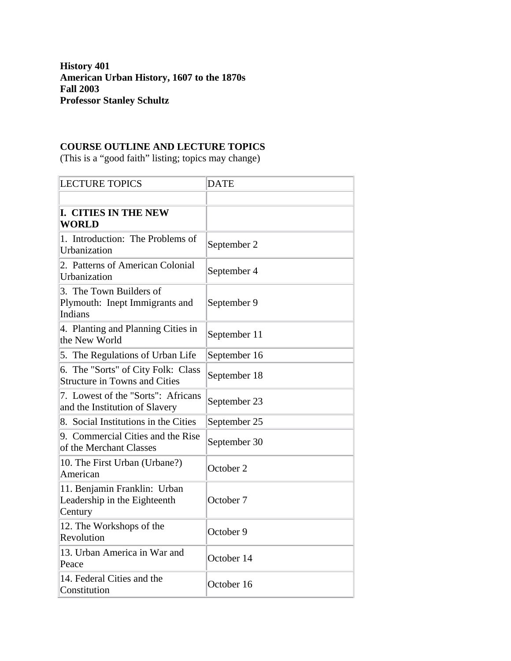**History 401 American Urban History, 1607 to the 1870s Fall 2003 Professor Stanley Schultz** 

## **COURSE OUTLINE AND LECTURE TOPICS**

(This is a "good faith" listing; topics may change)

| <b>LECTURE TOPICS</b>                                                      | <b>DATE</b>  |
|----------------------------------------------------------------------------|--------------|
|                                                                            |              |
| I. CITIES IN THE NEW<br><b>WORLD</b>                                       |              |
| 1. Introduction: The Problems of<br>Urbanization                           | September 2  |
| 2. Patterns of American Colonial<br>Urbanization                           | September 4  |
| 3. The Town Builders of<br>Plymouth: Inept Immigrants and<br>Indians       | September 9  |
| 4. Planting and Planning Cities in<br>the New World                        | September 11 |
| 5. The Regulations of Urban Life                                           | September 16 |
| 6. The "Sorts" of City Folk: Class<br><b>Structure in Towns and Cities</b> | September 18 |
| 7. Lowest of the "Sorts": Africans<br>and the Institution of Slavery       | September 23 |
| 8. Social Institutions in the Cities                                       | September 25 |
| 9. Commercial Cities and the Rise<br>of the Merchant Classes               | September 30 |
| 10. The First Urban (Urbane?)<br>American                                  | October 2    |
| 11. Benjamin Franklin: Urban<br>Leadership in the Eighteenth<br>Century    | October 7    |
| 12. The Workshops of the<br>Revolution                                     | October 9    |
| 13. Urban America in War and<br>Peace                                      | October 14   |
| 14. Federal Cities and the<br>Constitution                                 | October 16   |